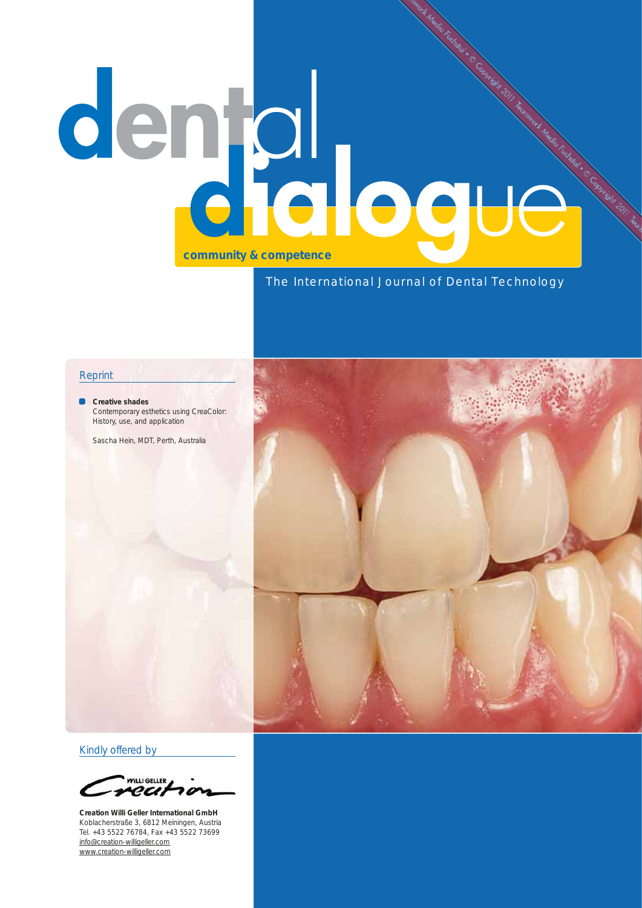# denjal ogue

# The International Journal of Dental Technology

#### Reprint

**Creative shades** Contemporary esthetics using CreaColor: History, use, and application

Sascha Hein, MDT, Perth, Australia



Kindly offered by

VILLI GELLER recit

**Creation Willi Geller International GmbH** Koblacherstraße 3, 6812 Meiningen, Austria Tel. +43 5522 76784, Fax +43 5522 73699 info@creation-willigeller.com www.creation-willigeller.com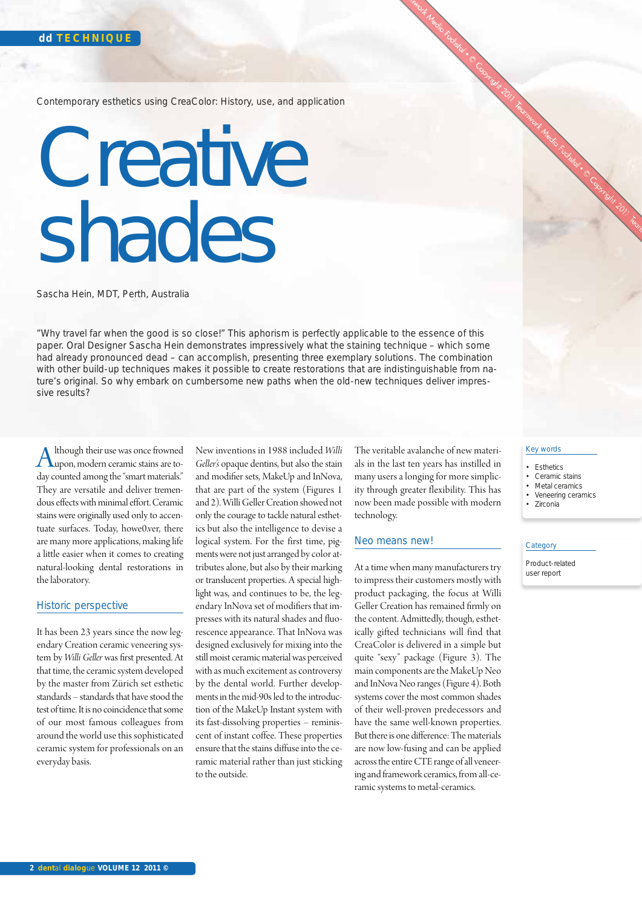Contemporary esthetics using CreaColor: History, use, and application

# Creative shades

Sascha Hein, MDT, Perth, Australia

"Why travel far when the good is so close!" This aphorism is perfectly applicable to the essence of this paper. Oral Designer Sascha Hein demonstrates impressively what the staining technique – which some had already pronounced dead – can accomplish, presenting three exemplary solutions. The combination with other build-up techniques makes it possible to create restorations that are indistinguishable from nature's original. So why embark on cumbersome new paths when the old-new techniques deliver impressive results?

Although their use was once frowned<br>hypon, modern ceramic stains are to-<br>due sounted emperating "most materials" day counted among the "smart materials." They are versatile and deliver tremendous effects with minimal effort. Ceramic stains were originally used only to accentuate surfaces. Today, howe0.ver, there are many more applications, making life a little easier when it comes to creating natural-looking dental restorations in the laboratory.

# Historic perspective

It has been 23 years since the now legendary Creation ceramic veneering system by *Willi Geller* was first presented. At that time, the ceramic system developed by the master from Zürich set esthetic standards – standards that have stood the test of time. It is no coincidence that some of our most famous colleagues from around the world use this sophisticated ceramic system for professionals on an everyday basis.

New inventions in 1988 included *Willi Geller's* opaque dentins, but also the stain and modifier sets, MakeUp and InNova, that are part of the system (Figures 1 and 2). Willi Geller Creation showed not only the courage to tackle natural esthetics but also the intelligence to devise a logical system. For the first time, pigments were not just arranged by color attributes alone, but also by their marking or translucent properties. A special highlight was, and continues to be, the legendary InNova set of modifiers that impresses with its natural shades and fluorescence appearance. That InNova was designed exclusively for mixing into the still moist ceramic material was perceived with as much excitement as controversy by the dental world. Further developments in the mid-90s led to the introduction of the MakeUp Instant system with its fast-dissolving properties – reminiscent of instant coffee. These properties ensure that the stains diffuse into the ceramic material rather than just sticking to the outside.

The veritable avalanche of new materials in the last ten years has instilled in many users a longing for more simplicity through greater flexibility. This has now been made possible with modern technology.

#### Neo means new!

At a time when many manufacturers try to impress their customers mostly with product packaging, the focus at Willi Geller Creation has remained firmly on the content. Admittedly, though, esthetically gifted technicians will find that CreaColor is delivered in a simple but quite "sexy" package (Figure 3). The main components are the MakeUp Neo and InNova Neo ranges (Figure 4). Both systems cover the most common shades of their well-proven predecessors and have the same well-known properties. But there is one difference: The materials are now low-fusing and can be applied across the entire CTE range of all veneering and framework ceramics, from all-ceramic systems to metal-ceramics.

- Esthetics
- Ceramic stains • Metal ceramics
- Veneering ceramics
- Zirconia

#### **Category**

Product-related user report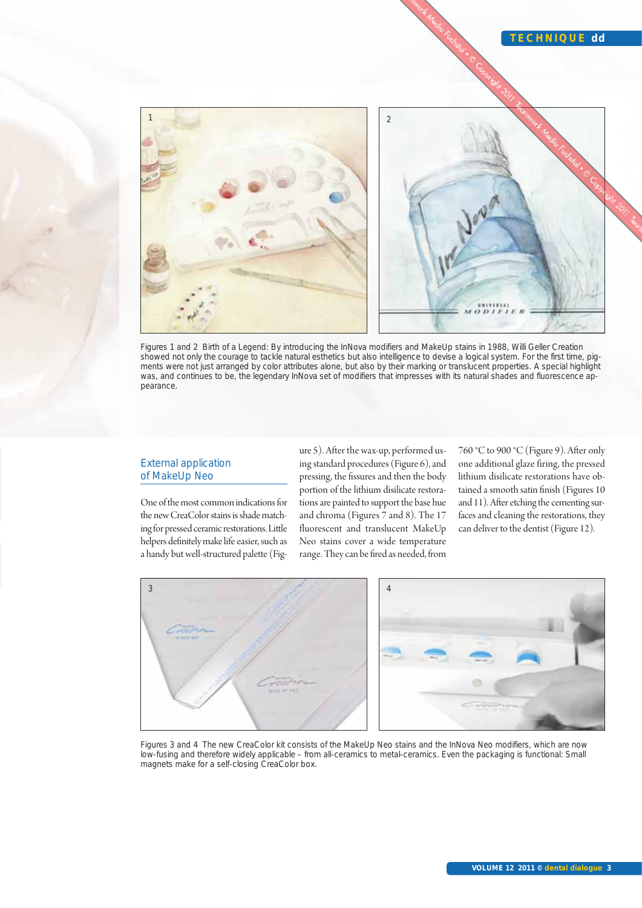

Figures 1 and 2 Birth of a Legend: By introducing the InNova modifiers and MakeUp stains in 1988, Willi Geller Creation showed not only the courage to tackle natural esthetics but also intelligence to devise a logical system. For the first time, pigments were not just arranged by color attributes alone, but also by their marking or translucent properties. A special highlight was, and continues to be, the legendary InNova set of modifiers that impresses with its natural shades and fluorescence appearance.

#### External application of MakeUp Neo

One of the most common indications for the new CreaColor stains is shade matching for pressed ceramic restorations. Little helpers definitely make life easier, such as a handy but well-structured palette (Figure 5). After the wax-up, performed using standard procedures (Figure 6), and pressing, the fissures and then the body portion of the lithium disilicate restorations are painted to support the base hue and chroma (Figures 7 and 8). The 17 fluorescent and translucent MakeUp Neo stains cover a wide temperature range. They can be fired as needed, from 760 °C to 900 °C (Figure 9). After only one additional glaze firing, the pressed lithium disilicate restorations have obtained a smooth satin finish (Figures 10 and 11). After etching the cementing surfaces and cleaning the restorations, they can deliver to the dentist (Figure 12).



Figures 3 and 4 The new CreaColor kit consists of the MakeUp Neo stains and the InNova Neo modifiers, which are now low-fusing and therefore widely applicable – from all-ceramics to metal-ceramics. Even the packaging is functional: Small magnets make for a self-closing CreaColor box.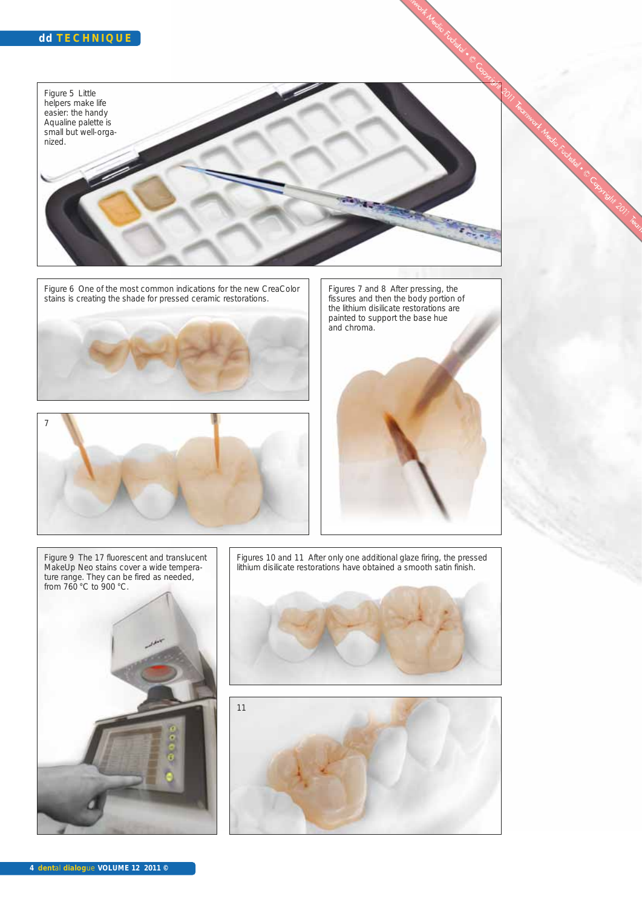Figure 5 Little helpers make life easier: the handy Aqualine palette is small but well-organized.Í لومة

Figure 6 One of the most common indications for the new CreaColor stains is creating the shade for pressed ceramic restorations.





Figures 7 and 8 After pressing, the fissures and then the body portion of the lithium disilicate restorations are painted to support the base hue and chroma.



Figure 9 The 17 fluorescent and translucent MakeUp Neo stains cover a wide temperature range. They can be fired as needed, from 760 °C to 900 °C.



Figures 10 and 11 After only one additional glaze firing, the pressed lithium disilicate restorations have obtained a smooth satin finish.



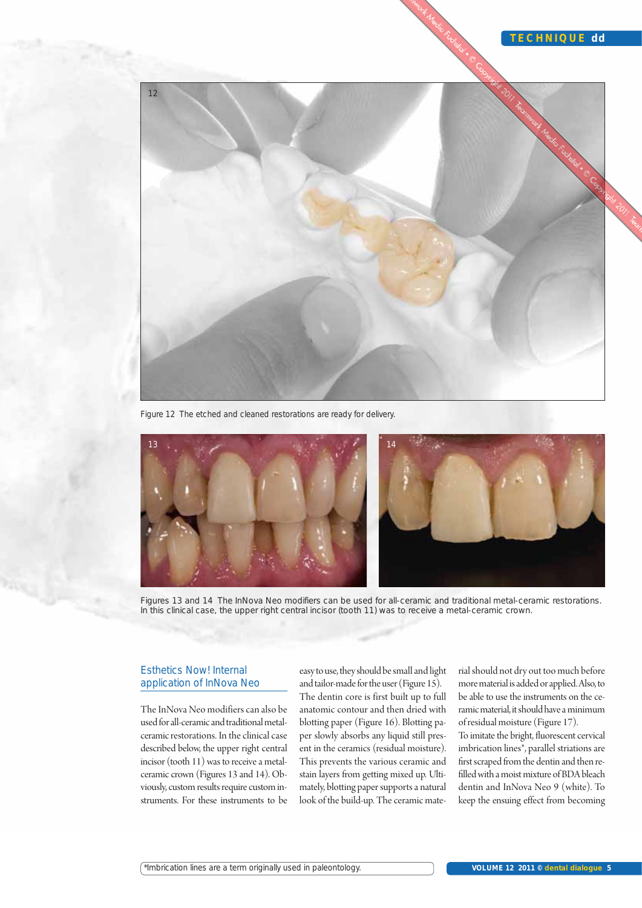

Figure 12 The etched and cleaned restorations are ready for delivery.



Figures 13 and 14 The InNova Neo modifiers can be used for all-ceramic and traditional metal-ceramic restorations. In this clinical case, the upper right central incisor (tooth 11) was to receive a metal-ceramic crown.

# Esthetics Now! Internal application of InNova Neo

The InNova Neo modifiers can also be used for all-ceramic and traditional metalceramic restorations. In the clinical case described below, the upper right central incisor (tooth 11) was to receive a metalceramic crown (Figures 13 and 14). Obviously, custom results require custom instruments. For these instruments to be easy to use, they should be small and light and tailor-made for the user (Figure 15). The dentin core is first built up to full anatomic contour and then dried with blotting paper (Figure 16). Blotting paper slowly absorbs any liquid still present in the ceramics (residual moisture). This prevents the various ceramic and stain layers from getting mixed up. Ultimately, blotting paper supports a natural look of the build-up. The ceramic material should not dry out too much before more material is added or applied. Also, to be able to use the instruments on the ceramic material, it should have a minimum of residual moisture (Figure 17).

To imitate the bright, fluorescent cervical imbrication lines\*, parallel striations are first scraped from the dentin and then refilled with a moist mixture of BDA bleach dentin and InNova Neo 9 (white). To keep the ensuing effect from becoming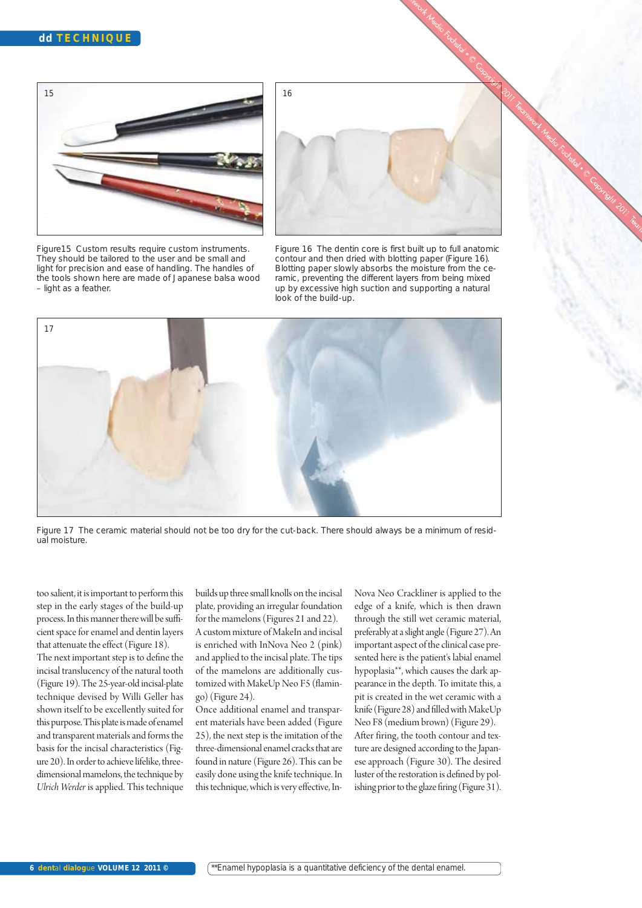

Figure15 Custom results require custom instruments. They should be tailored to the user and be small and light for precision and ease of handling. The handles of the tools shown here are made of Japanese balsa wood – light as a feather.



Figure 16 The dentin core is first built up to full anatomic contour and then dried with blotting paper (Figure 16). Blotting paper slowly absorbs the moisture from the ceramic, preventing the different layers from being mixed up by excessive high suction and supporting a natural look of the build-up.



Figure 17 The ceramic material should not be too dry for the cut-back. There should always be a minimum of residual moisture.

too salient, it is important to perform this step in the early stages of the build-up process. In this manner there will be sufficient space for enamel and dentin layers that attenuate the effect (Figure 18).

The next important step is to define the incisal translucency of the natural tooth (Figure 19). The 25-year-old incisal-plate technique devised by Willi Geller has shown itself to be excellently suited for this purpose. This plate is made of enamel and transparent materials and forms the basis for the incisal characteristics (Figure 20). In order to achieve lifelike, threedimensional mamelons, the technique by *Ulrich Werder* is applied. This technique builds up three small knolls on the incisal plate, providing an irregular foundation for the mamelons (Figures 21 and 22). A custom mixture of MakeIn and incisal is enriched with InNova Neo 2 (pink) and applied to the incisal plate. The tips of the mamelons are additionally customized with MakeUp Neo F5 (flamingo) (Figure 24).

Once additional enamel and transparent materials have been added (Figure 25), the next step is the imitation of the three-dimensional enamel cracks that are found in nature (Figure 26). This can be easily done using the knife technique. In this technique, which is very effective, InNova Neo Crackliner is applied to the edge of a knife, which is then drawn through the still wet ceramic material, preferably at a slight angle (Figure 27). An important aspect of the clinical case presented here is the patient's labial enamel hypoplasia\*\*, which causes the dark appearance in the depth. To imitate this, a pit is created in the wet ceramic with a knife (Figure 28) and filled with MakeUp Neo F8 (medium brown) (Figure 29). After firing, the tooth contour and texture are designed according to the Japanese approach (Figure 30). The desired luster of the restoration is defined by polishing prior to the glaze firing (Figure 31).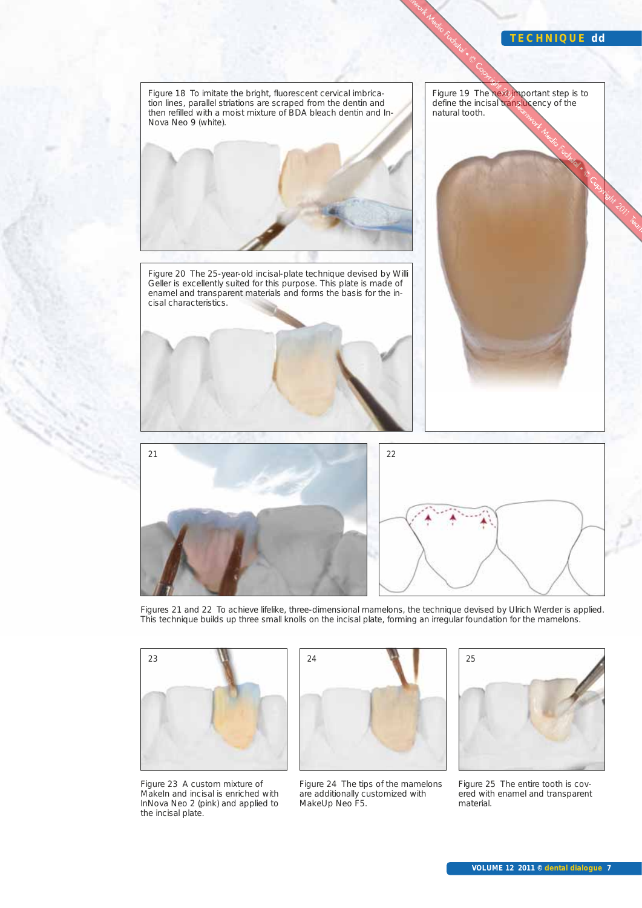#### **TECHNIQUE dd**



Figures 21 and 22 To achieve lifelike, three-dimensional mamelons, the technique devised by Ulrich Werder is applied. This technique builds up three small knolls on the incisal plate, forming an irregular foundation for the mamelons.



Figure 23 A custom mixture of MakeIn and incisal is enriched with InNova Neo 2 (pink) and applied to the incisal plate.







Figure 25 The entire tooth is covered with enamel and transparent material.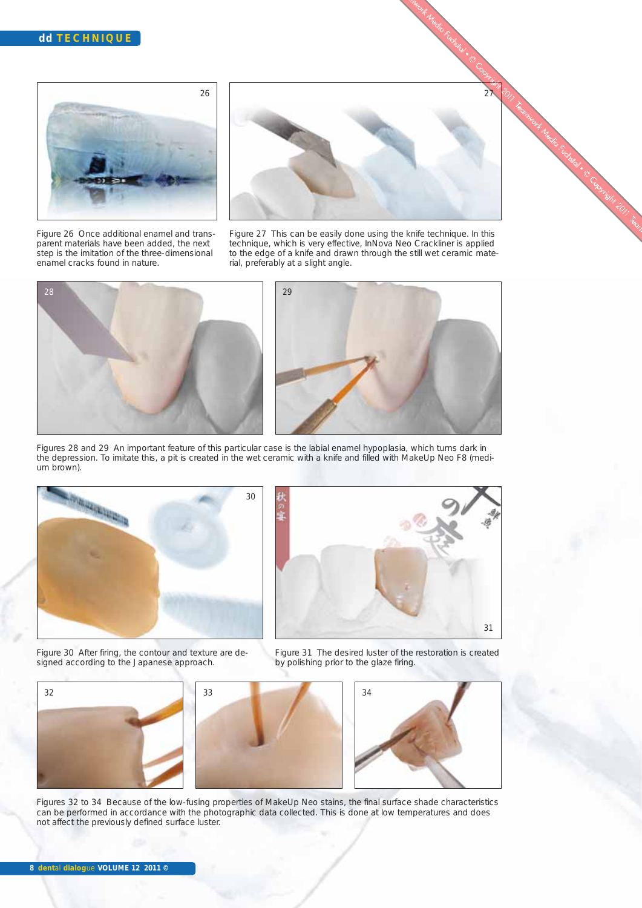

Figure 26 Once additional enamel and transparent materials have been added, the next step is the imitation of the three-dimensional enamel cracks found in nature.



Figure 27 This can be easily done using the knife technique. In this technique, which is very effective, InNova Neo Crackliner is applied to the edge of a knife and drawn through the still wet ceramic material, preferably at a slight angle.



Figures 28 and 29 An important feature of this particular case is the labial enamel hypoplasia, which turns dark in the depression. To imitate this, a pit is created in the wet ceramic with a knife and filled with MakeUp Neo F8 (medium brown).



31

Figure 30 After firing, the contour and texture are designed according to the Japanese approach.





Figures 32 to 34 Because of the low-fusing properties of MakeUp Neo stains, the final surface shade characteristics can be performed in accordance with the photographic data collected. This is done at low temperatures and does not affect the previously defined surface luster.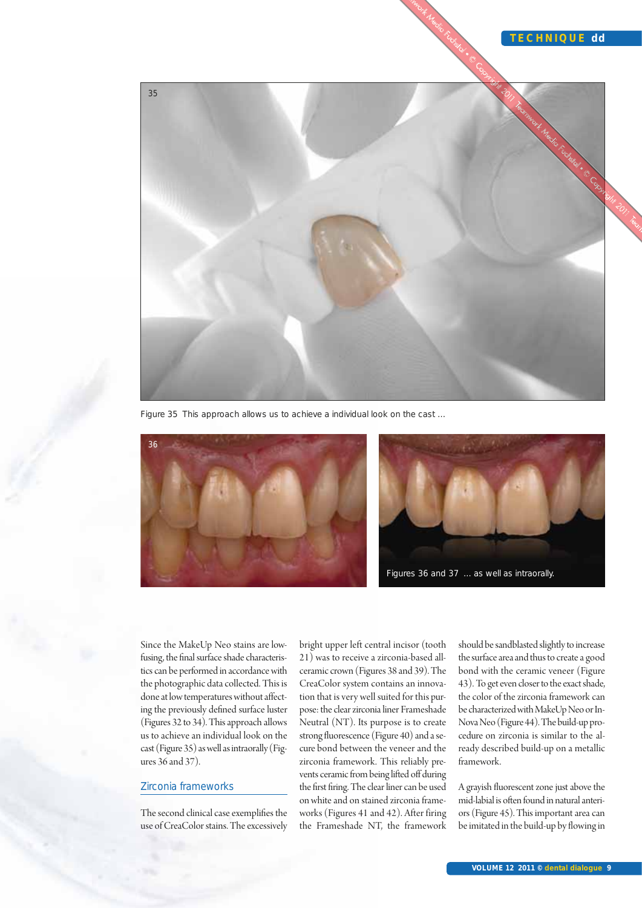

Figure 35 This approach allows us to achieve a individual look on the cast …





Since the MakeUp Neo stains are lowfusing, the final surface shade characteristics can be performed in accordance with the photographic data collected. This is done at low temperatures without affecting the previously defined surface luster (Figures 32 to 34). This approach allows us to achieve an individual look on the cast (Figure 35) as well as intraorally (Figures 36 and 37).

#### Zirconia frameworks

The second clinical case exemplifies the use of CreaColor stains. The excessively bright upper left central incisor (tooth 21) was to receive a zirconia-based allceramic crown (Figures 38 and 39). The CreaColor system contains an innovation that is very well suited for this purpose: the clear zirconia liner Frameshade Neutral (NT). Its purpose is to create strong fluorescence (Figure 40) and a secure bond between the veneer and the zirconia framework. This reliably prevents ceramic from being lifted off during the first firing. The clear liner can be used on white and on stained zirconia frameworks (Figures 41 and 42). After firing the Frameshade NT, the framework

should be sandblasted slightly to increase the surface area and thus to create a good bond with the ceramic veneer (Figure 43). To get even closer to the exact shade, the color of the zirconia framework can be characterized with MakeUp Neo or In-Nova Neo (Figure 44). The build-up procedure on zirconia is similar to the already described build-up on a metallic framework.

A grayish fluorescent zone just above the mid-labial is often found in natural anteriors (Figure 45). This important area can be imitated in the build-up by flowing in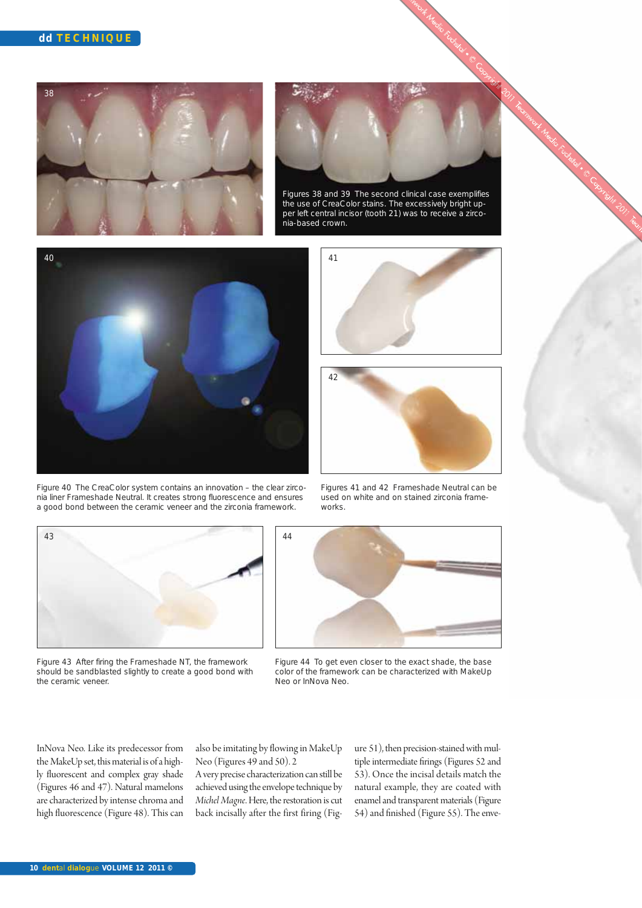



Figures 38 and 39 The second clinical case exemplifies the use of CreaColor stains. The excessively bright upper left central incisor (tooth 21) was to receive a zirconia-based crown.







Figure 40 The CreaColor system contains an innovation – the clear zirconia liner Frameshade Neutral. It creates strong fluorescence and ensures a good bond between the ceramic veneer and the zirconia framework.

Figures 41 and 42 Frameshade Neutral can be used on white and on stained zirconia frameworks.





Figure 43 After firing the Frameshade NT, the framework should be sandblasted slightly to create a good bond with the ceramic veneer.

Figure 44 To get even closer to the exact shade, the base color of the framework can be characterized with MakeUp Neo or InNova Neo.

InNova Neo. Like its predecessor from the MakeUp set, this material is of a highly fluorescent and complex gray shade (Figures 46 and 47). Natural mamelons are characterized by intense chroma and high fluorescence (Figure 48). This can also be imitating by flowing in MakeUp Neo (Figures 49 and 50). 2

A very precise characterization can still be achieved using the envelope technique by *Michel Magne*. Here, the restoration is cut back incisally after the first firing (Figure 51), then precision-stained with multiple intermediate firings (Figures 52 and 53). Once the incisal details match the natural example, they are coated with enamel and transparent materials (Figure 54) and finished (Figure 55). The enve-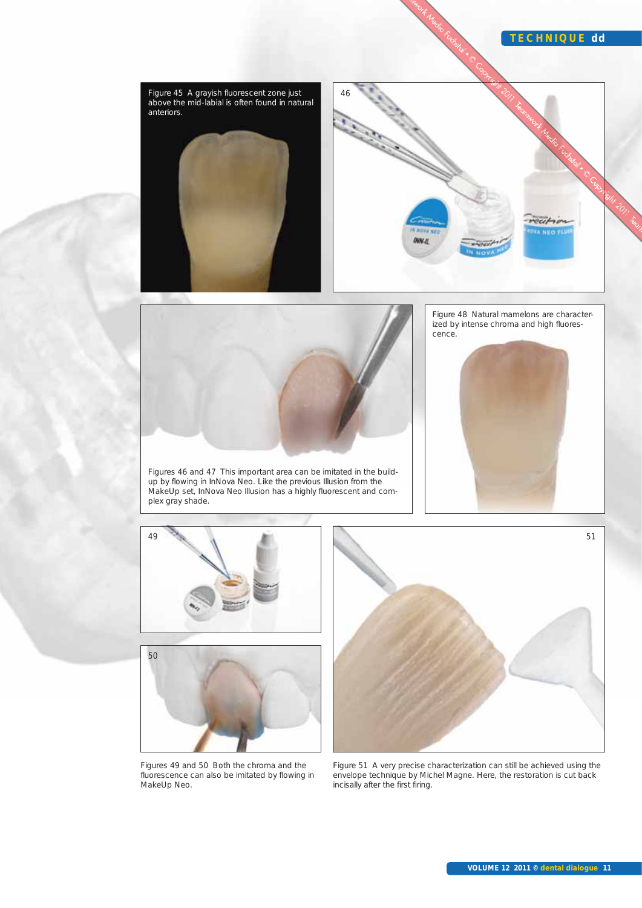## **TECHNIQUE dd**

recition VA NEO F



46







Figure 45 A grayish fluorescent zone just above the mid-labial is often found in natural

anteriors.



51

Figures 49 and 50 Both the chroma and the fluorescence can also be imitated by flowing in MakeUp Neo.

Figure 51 A very precise characterization can still be achieved using the envelope technique by Michel Magne. Here, the restoration is cut back incisally after the first firing.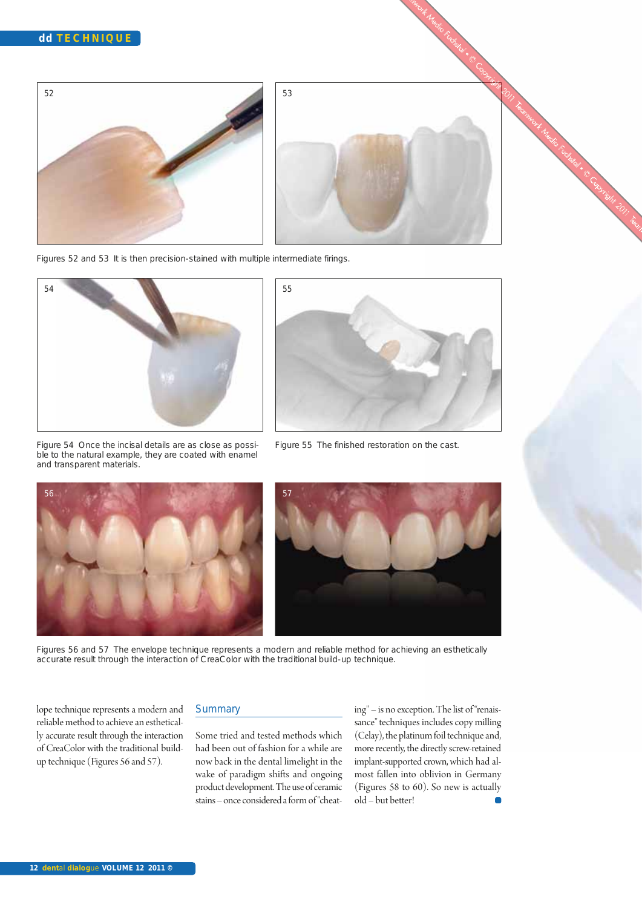



Figures 52 and 53 It is then precision-stained with multiple intermediate firings.



Figure 54 Once the incisal details are as close as possible to the natural example, they are coated with enamel and transparent materials.



Figure 55 The finished restoration on the cast.





Figures 56 and 57 The envelope technique represents a modern and reliable method for achieving an esthetically accurate result through the interaction of CreaColor with the traditional build-up technique.

lope technique represents a modern and reliable method to achieve an esthetically accurate result through the interaction of CreaColor with the traditional buildup technique (Figures 56 and 57).

#### **Summary**

Some tried and tested methods which had been out of fashion for a while are now back in the dental limelight in the wake of paradigm shifts and ongoing product development. The use of ceramic stains – once considered a form of "cheating" – is no exception. The list of "renaissance" techniques includes copy milling (Celay), the platinum foil technique and, more recently, the directly screw-retained implant-supported crown, which had almost fallen into oblivion in Germany (Figures 58 to 60). So new is actually old – but better!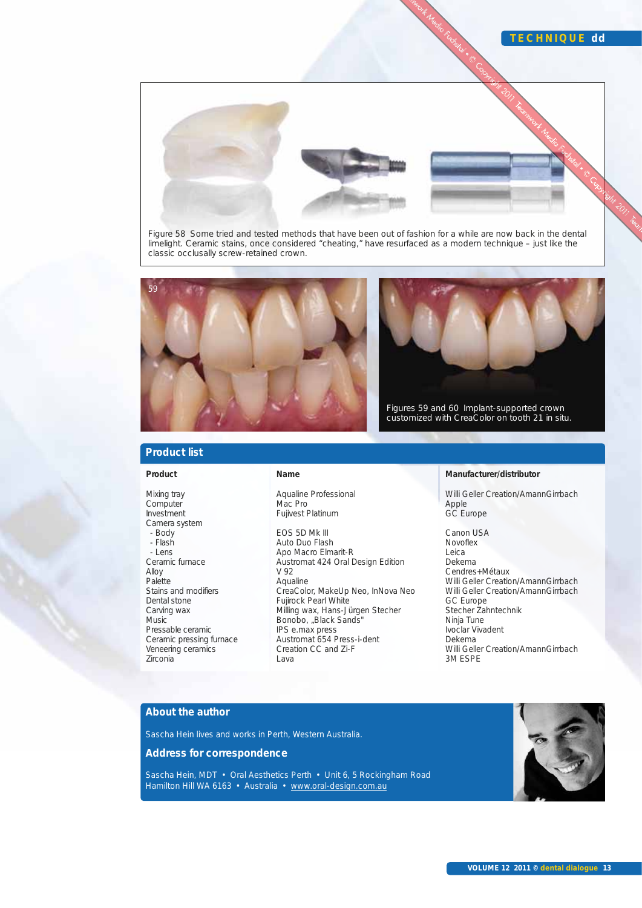

Figure 58 Some tried and tested methods that have been out of fashion for a while are now back in the dental limelight. Ceramic stains, once considered "cheating," have resurfaced as a modern technique – just like the classic occlusally screw-retained crown.



# **Product list**

#### **Product**

Mixing tray Computer Investment Camera system - Body - Flash - Lens Ceramic furnace Alloy Palette Stains and modifiers Dental stone Carving wax Music Pressable ceramic Ceramic pressing furnace Veneering ceramics Zirconia

#### **Name**

Aqualine Professional Mac Pro Fujivest Platinum

EOS 5D Mk III Auto Duo Flash Apo Macro Elmarit-R Austromat 424 Oral Design Edition V 92 Aqualine CreaColor, MakeUp Neo, InNova Neo Fujirock Pearl White Milling wax, Hans-Jürgen Stecher Bonobo, "Black Sands" IPS e.max press Austromat 654 Press-i-dent Creation CC and Zi-F Lava

#### **Manufacturer/distributor**

Willi Geller Creation/AmannGirrbach Apple GC Europe

**TECHNIQUE dd**

Canon USA Novoflex Leica Dekema Cendres+Métaux Willi Geller Creation/AmannGirrbach Willi Geller Creation/AmannGirrbach GC Europe Stecher Zahntechnik Ninja Tune Ivoclar Vivadent Dekema Willi Geller Creation/AmannGirrbach 3M ESPE

#### **About the author**

Sascha Hein lives and works in Perth, Western Australia.

**Address for correspondence**

Sascha Hein, MDT • Oral Aesthetics Perth • Unit 6, 5 Rockingham Road Hamilton Hill WA 6163 · Australia · www.oral-design.com.au

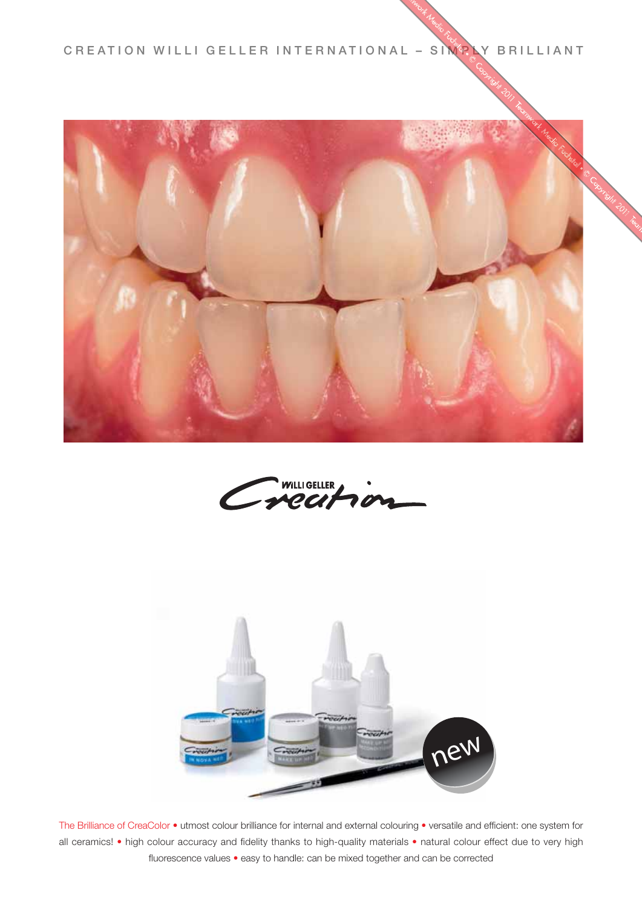CREATION WILLI GELLER INTERNATIONAL - SIM<sup>2</sup> LY BRILLIANT







The Brilliance of CreaColor • utmost colour brilliance for internal and external colouring • versatile and efficient: one system for all ceramics! • high colour accuracy and fidelity thanks to high-quality materials • natural colour effect due to very high fluorescence values • easy to handle: can be mixed together and can be corrected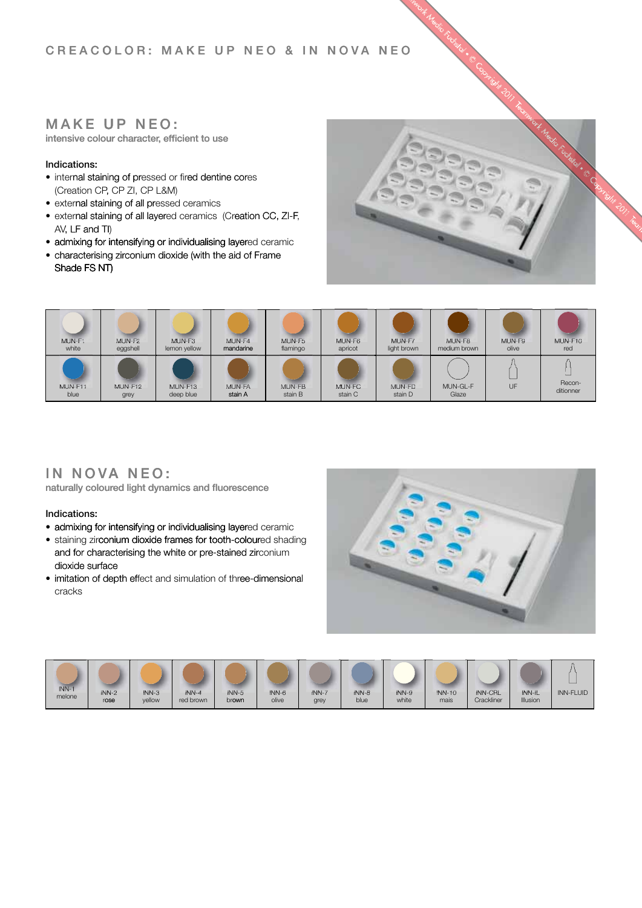# **CREACOLOR: MAKE UP NEO & IN NOVA NEO OCAERC PUEKAM:ROLO AVONNI&OEN OEN**

# $MAKE$  UP NEO:

**intensive colour character, efficient to use** 

## **Indications:**

- (Creation CP, CP ZI, CP L&M) • internal staining of pressed or fired dentine cores
- external staining of all pressed ceramics
- external staining of all layered ceramics (Creation CC, ZI-F,<br>AV, LF and TI) AV, LF and TI)
- admixing for intensifying or individualising layered ceramic<br>• characterising zirconium dioxide (with the aid of Frame • admixing for intensifying or individualising layered ceramic
- Shade FS NT)





# IN NOVA NEO:

**naturally coloured light dynamics and fluorescence** 

## **Indications:**

- admixing for intensifying or individualising layered ceramic
- staining zirconium dioxide frames for tooth-coloured shading dioxide surface and for characterising the white or pre-stained zir conium dioxide frames for tooth-coloured shading<br>aracterising the white or pre-stained zirconium<br>face<br>f depth effect and simulation of three-dimensional
- imitation of depth effect and simulation of three-dimensional cracks